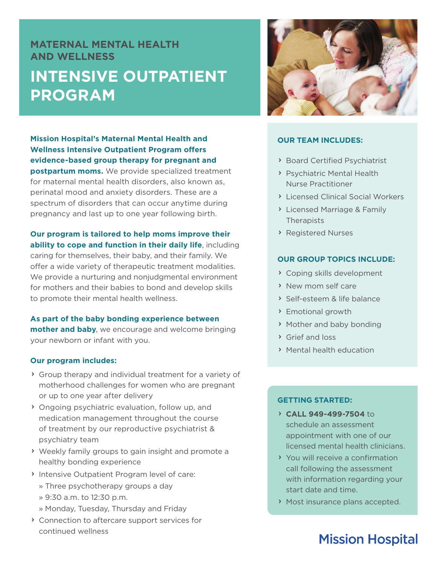## **MATERNAL MENTAL HEALTH AND WELLNESS INTENSIVE OUTPATIENT PROGRAM**

**Mission Hospital's Maternal Mental Health and Wellness Intensive Outpatient Program offers evidence-based group therapy for pregnant and postpartum moms.** We provide specialized treatment for maternal mental health disorders, also known as, perinatal mood and anxiety disorders. These are a spectrum of disorders that can occur anytime during pregnancy and last up to one year following birth.

**Our program is tailored to help moms improve their ability to cope and function in their daily life**, including caring for themselves, their baby, and their family. We offer a wide variety of therapeutic treatment modalities. We provide a nurturing and nonjudgmental environment for mothers and their babies to bond and develop skills to promote their mental health wellness.

**As part of the baby bonding experience between mother and baby**, we encourage and welcome bringing your newborn or infant with you.

#### **Our program includes:**

- $\rightarrow$  Group therapy and individual treatment for a variety of motherhood challenges for women who are pregnant or up to one year after delivery
- $\rightarrow$  Ongoing psychiatric evaluation, follow up, and medication management throughout the course of treatment by our reproductive psychiatrist & psychiatry team
- $\rightarrow$  Weekly family groups to gain insight and promote a healthy bonding experience
- Intensive Outpatient Program level of care:
	- » Three psychotherapy groups a day
	- » 9:30 a.m. to 12:30 p.m.
	- » Monday, Tuesday, Thursday and Friday
- $\rightarrow$  Connection to aftercare support services for continued wellness



### **OUR TEAM INCLUDES:**

- > Board Certified Psychiatrist
- > Psychiatric Mental Health Nurse Practitioner
- $\sum$  Licensed Clinical Social Workers
- **> Licensed Marriage & Family Therapists**
- > Registered Nurses

#### **OUR GROUP TOPICS INCLUDE:**

- $\rightarrow$  Coping skills development
- > New mom self care
- Self-esteem & life balance
- $\triangleright$  Emotional growth
- $\rightarrow$  Mother and baby bonding
- $\triangleright$  Grief and loss
- $\rightarrow$  Mental health education

#### **GETTING STARTED:**

- **CALL 949-499-7504** to schedule an assessment appointment with one of our licensed mental health clinicians.
- $\rightarrow$  You will receive a confirmation call following the assessment with information regarding your start date and time.
- $\rightarrow$  Most insurance plans accepted.

# **Mission Hospital**